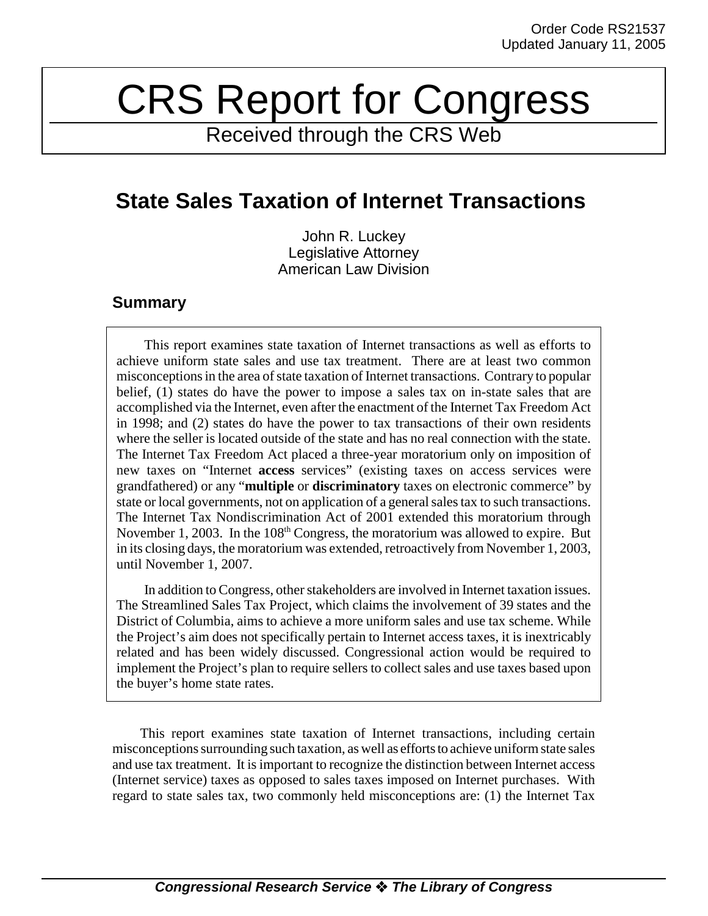# CRS Report for Congress

Received through the CRS Web

# **State Sales Taxation of Internet Transactions**

John R. Luckey Legislative Attorney American Law Division

# **Summary**

This report examines state taxation of Internet transactions as well as efforts to achieve uniform state sales and use tax treatment. There are at least two common misconceptions in the area of state taxation of Internet transactions. Contrary to popular belief, (1) states do have the power to impose a sales tax on in-state sales that are accomplished via the Internet, even after the enactment of the Internet Tax Freedom Act in 1998; and (2) states do have the power to tax transactions of their own residents where the seller is located outside of the state and has no real connection with the state. The Internet Tax Freedom Act placed a three-year moratorium only on imposition of new taxes on "Internet **access** services" (existing taxes on access services were grandfathered) or any "**multiple** or **discriminatory** taxes on electronic commerce" by state or local governments, not on application of a general sales tax to such transactions. The Internet Tax Nondiscrimination Act of 2001 extended this moratorium through November 1, 2003. In the 108<sup>th</sup> Congress, the moratorium was allowed to expire. But in its closing days, the moratorium was extended, retroactively from November 1, 2003, until November 1, 2007.

In addition to Congress, other stakeholders are involved in Internet taxation issues. The Streamlined Sales Tax Project, which claims the involvement of 39 states and the District of Columbia, aims to achieve a more uniform sales and use tax scheme. While the Project's aim does not specifically pertain to Internet access taxes, it is inextricably related and has been widely discussed. Congressional action would be required to implement the Project's plan to require sellers to collect sales and use taxes based upon the buyer's home state rates.

This report examines state taxation of Internet transactions, including certain misconceptions surrounding such taxation, as well as efforts to achieve uniform state sales and use tax treatment. It is important to recognize the distinction between Internet access (Internet service) taxes as opposed to sales taxes imposed on Internet purchases. With regard to state sales tax, two commonly held misconceptions are: (1) the Internet Tax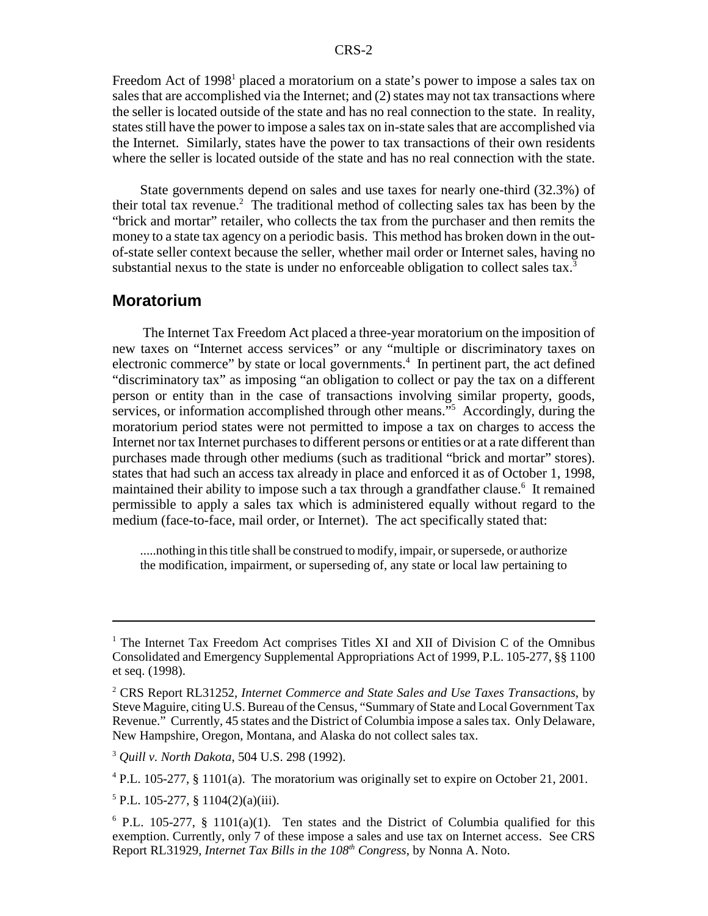Freedom Act of 1998<sup>1</sup> placed a moratorium on a state's power to impose a sales tax on sales that are accomplished via the Internet; and (2) states may not tax transactions where the seller is located outside of the state and has no real connection to the state. In reality, states still have the power to impose a sales tax on in-state sales that are accomplished via the Internet. Similarly, states have the power to tax transactions of their own residents where the seller is located outside of the state and has no real connection with the state.

State governments depend on sales and use taxes for nearly one-third (32.3%) of their total tax revenue.<sup>2</sup> The traditional method of collecting sales tax has been by the "brick and mortar" retailer, who collects the tax from the purchaser and then remits the money to a state tax agency on a periodic basis. This method has broken down in the outof-state seller context because the seller, whether mail order or Internet sales, having no substantial nexus to the state is under no enforceable obligation to collect sales tax. $3$ 

#### **Moratorium**

 The Internet Tax Freedom Act placed a three-year moratorium on the imposition of new taxes on "Internet access services" or any "multiple or discriminatory taxes on electronic commerce" by state or local governments.<sup>4</sup> In pertinent part, the act defined "discriminatory tax" as imposing "an obligation to collect or pay the tax on a different person or entity than in the case of transactions involving similar property, goods, services, or information accomplished through other means."<sup>5</sup> Accordingly, during the moratorium period states were not permitted to impose a tax on charges to access the Internet nor tax Internet purchases to different persons or entities or at a rate different than purchases made through other mediums (such as traditional "brick and mortar" stores). states that had such an access tax already in place and enforced it as of October 1, 1998, maintained their ability to impose such a tax through a grandfather clause.<sup>6</sup> It remained permissible to apply a sales tax which is administered equally without regard to the medium (face-to-face, mail order, or Internet). The act specifically stated that:

.....nothing in this title shall be construed to modify, impair, or supersede, or authorize the modification, impairment, or superseding of, any state or local law pertaining to

<sup>&</sup>lt;sup>1</sup> The Internet Tax Freedom Act comprises Titles XI and XII of Division C of the Omnibus Consolidated and Emergency Supplemental Appropriations Act of 1999, P.L. 105-277, §§ 1100 et seq. (1998).

<sup>2</sup> CRS Report RL31252, *Internet Commerce and State Sales and Use Taxes Transactions*, by Steve Maguire, citing U.S. Bureau of the Census, "Summary of State and Local Government Tax Revenue." Currently, 45 states and the District of Columbia impose a sales tax. Only Delaware, New Hampshire, Oregon, Montana, and Alaska do not collect sales tax.

<sup>3</sup> *Quill v. North Dakota*, 504 U.S. 298 (1992).

<sup>&</sup>lt;sup>4</sup> P.L. 105-277, § 1101(a). The moratorium was originally set to expire on October 21, 2001.

 $5$  P.L. 105-277, § 1104(2)(a)(iii).

 $6$  P.L. 105-277, § 1101(a)(1). Ten states and the District of Columbia qualified for this exemption. Currently, only 7 of these impose a sales and use tax on Internet access. See CRS Report RL31929, *Internet Tax Bills in the 108<sup>th</sup> Congress*, by Nonna A. Noto.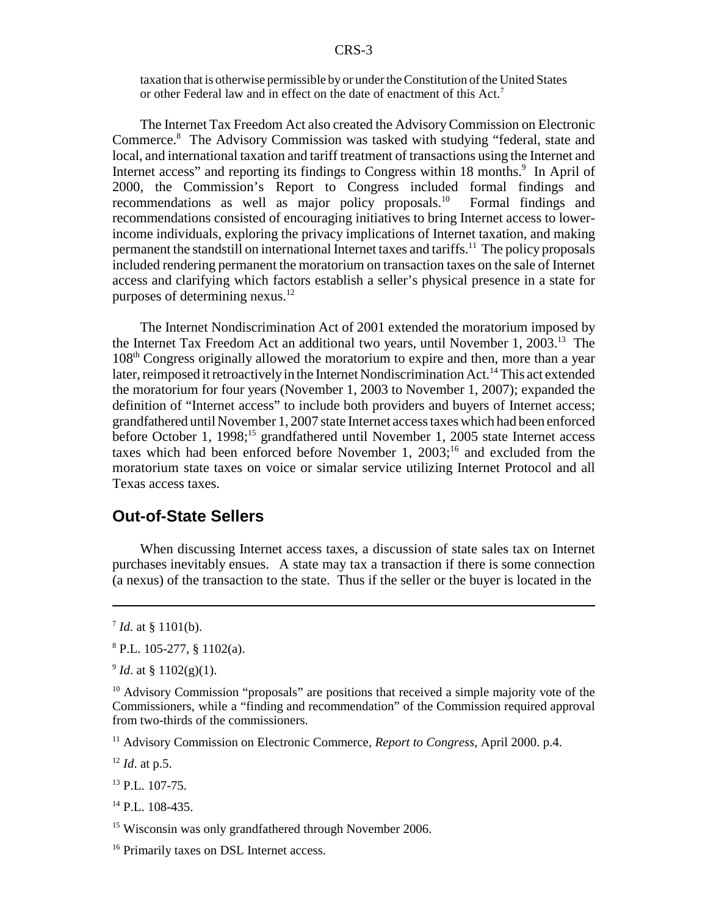taxation that is otherwise permissible by or under the Constitution of the United States or other Federal law and in effect on the date of enactment of this Act.7

The Internet Tax Freedom Act also created the Advisory Commission on Electronic Commerce.<sup>8</sup> The Advisory Commission was tasked with studying "federal, state and local, and international taxation and tariff treatment of transactions using the Internet and Internet access" and reporting its findings to Congress within 18 months.<sup>9</sup> In April of 2000, the Commission's Report to Congress included formal findings and recommendations as well as major policy proposals.<sup>10</sup> Formal findings and recommendations consisted of encouraging initiatives to bring Internet access to lowerincome individuals, exploring the privacy implications of Internet taxation, and making permanent the standstill on international Internet taxes and tariffs.<sup>11</sup> The policy proposals included rendering permanent the moratorium on transaction taxes on the sale of Internet access and clarifying which factors establish a seller's physical presence in a state for purposes of determining nexus. $^{12}$ 

The Internet Nondiscrimination Act of 2001 extended the moratorium imposed by the Internet Tax Freedom Act an additional two years, until November 1, 2003.13 The 108th Congress originally allowed the moratorium to expire and then, more than a year later, reimposed it retroactively in the Internet Nondiscrimination Act.14 This act extended the moratorium for four years (November 1, 2003 to November 1, 2007); expanded the definition of "Internet access" to include both providers and buyers of Internet access; grandfathered until November 1, 2007 state Internet access taxes which had been enforced before October 1, 1998;<sup>15</sup> grandfathered until November 1, 2005 state Internet access taxes which had been enforced before November 1,  $2003$ ;<sup>16</sup> and excluded from the moratorium state taxes on voice or simalar service utilizing Internet Protocol and all Texas access taxes.

### **Out-of-State Sellers**

When discussing Internet access taxes, a discussion of state sales tax on Internet purchases inevitably ensues. A state may tax a transaction if there is some connection (a nexus) of the transaction to the state. Thus if the seller or the buyer is located in the

<sup>11</sup> Advisory Commission on Electronic Commerce, *Report to Congress*, April 2000. p.4.

<sup>12</sup> *Id*. at p.5.

 $^{13}$  P.L. 107-75.

<sup>14</sup> P.L. 108-435.

<sup>15</sup> Wisconsin was only grandfathered through November 2006.

<sup>16</sup> Primarily taxes on DSL Internet access.

 $^7$  *Id.* at § 1101(b).

 $8$  P.L. 105-277, § 1102(a).

 $^{9}$  *Id.* at § 1102(g)(1).

 $10$  Advisory Commission "proposals" are positions that received a simple majority vote of the Commissioners, while a "finding and recommendation" of the Commission required approval from two-thirds of the commissioners.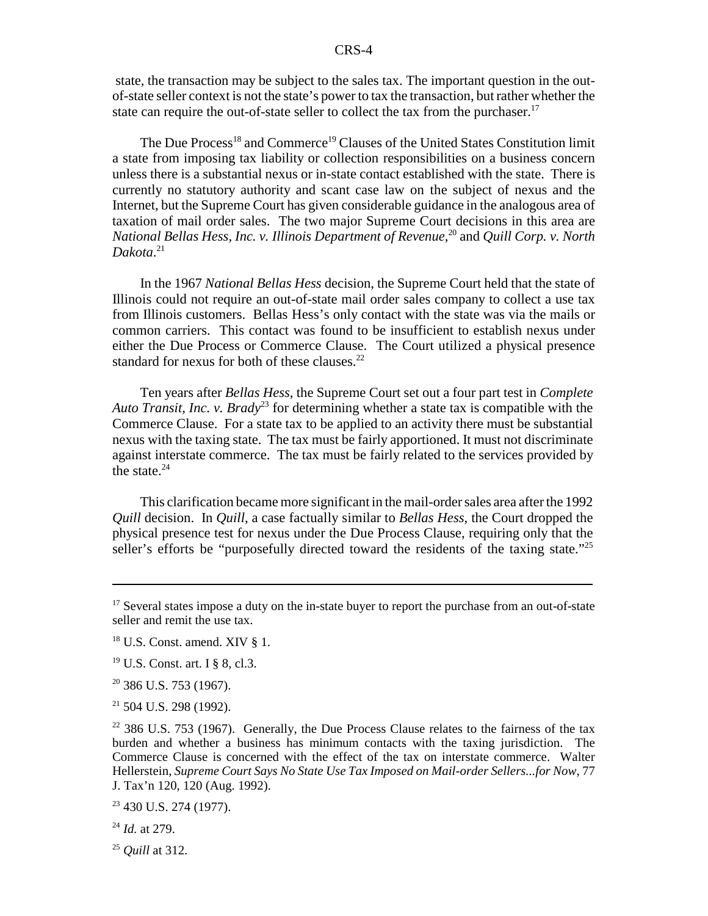state, the transaction may be subject to the sales tax. The important question in the outof-state seller context is not the state's power to tax the transaction, but rather whether the state can require the out-of-state seller to collect the tax from the purchaser.<sup>17</sup>

The Due Process<sup>18</sup> and Commerce<sup>19</sup> Clauses of the United States Constitution limit a state from imposing tax liability or collection responsibilities on a business concern unless there is a substantial nexus or in-state contact established with the state. There is currently no statutory authority and scant case law on the subject of nexus and the Internet, but the Supreme Court has given considerable guidance in the analogous area of taxation of mail order sales. The two major Supreme Court decisions in this area are *National Bellas Hess, Inc. v. Illinois Department of Revenue*, 20 and *Quill Corp. v. North Dakota*. 21

In the 1967 *National Bellas Hess* decision, the Supreme Court held that the state of Illinois could not require an out-of-state mail order sales company to collect a use tax from Illinois customers. Bellas Hess's only contact with the state was via the mails or common carriers. This contact was found to be insufficient to establish nexus under either the Due Process or Commerce Clause. The Court utilized a physical presence standard for nexus for both of these clauses. $^{22}$ 

Ten years after *Bellas Hess*, the Supreme Court set out a four part test in *Complete Auto Transit, Inc. v. Brady*23 for determining whether a state tax is compatible with the Commerce Clause. For a state tax to be applied to an activity there must be substantial nexus with the taxing state. The tax must be fairly apportioned. It must not discriminate against interstate commerce. The tax must be fairly related to the services provided by the state. $24$ 

This clarification became more significant in the mail-order sales area after the 1992 *Quill* decision. In *Quill*, a case factually similar to *Bellas Hess*, the Court dropped the physical presence test for nexus under the Due Process Clause, requiring only that the seller's efforts be "purposefully directed toward the residents of the taxing state."<sup>25</sup>

<sup>20</sup> 386 U.S. 753 (1967).

21 504 U.S. 298 (1992).

<sup>&</sup>lt;sup>17</sup> Several states impose a duty on the in-state buyer to report the purchase from an out-of-state seller and remit the use tax.

 $18$  U.S. Const. amend. XIV § 1.

<sup>19</sup> U.S. Const. art. I § 8, cl.3.

 $22$  386 U.S. 753 (1967). Generally, the Due Process Clause relates to the fairness of the tax burden and whether a business has minimum contacts with the taxing jurisdiction. The Commerce Clause is concerned with the effect of the tax on interstate commerce. Walter Hellerstein, *Supreme Court Says No State Use Tax Imposed on Mail-order Sellers...for Now*, 77 J. Tax'n 120, 120 (Aug. 1992).

 $23$  430 U.S. 274 (1977).

<sup>24</sup> *Id.* at 279.

<sup>25</sup> *Quill* at 312.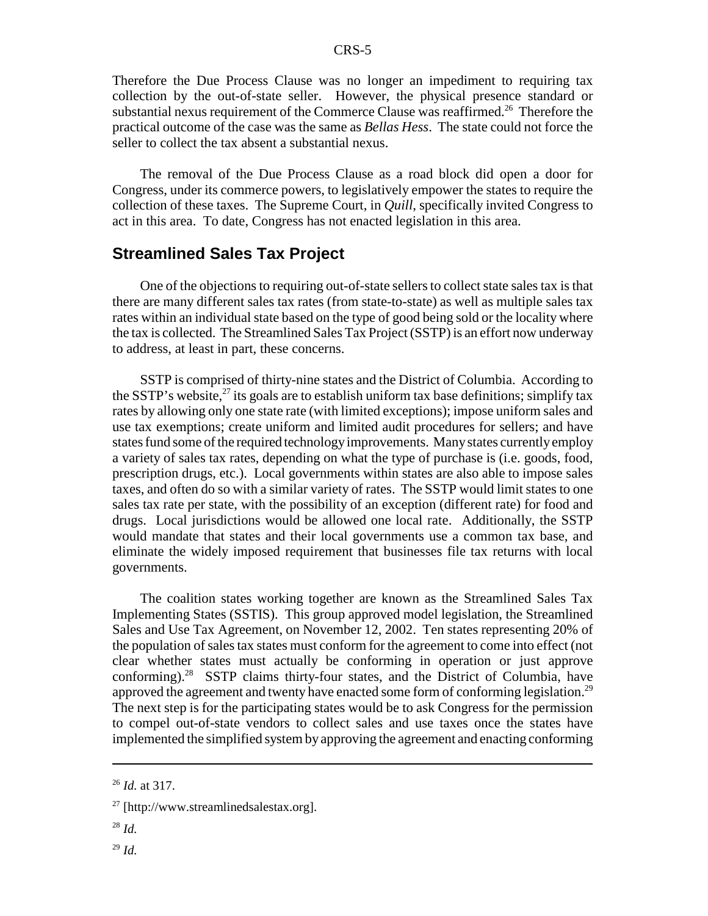Therefore the Due Process Clause was no longer an impediment to requiring tax collection by the out-of-state seller. However, the physical presence standard or substantial nexus requirement of the Commerce Clause was reaffirmed.<sup>26</sup> Therefore the practical outcome of the case was the same as *Bellas Hess*. The state could not force the seller to collect the tax absent a substantial nexus.

The removal of the Due Process Clause as a road block did open a door for Congress, under its commerce powers, to legislatively empower the states to require the collection of these taxes. The Supreme Court, in *Quill*, specifically invited Congress to act in this area. To date, Congress has not enacted legislation in this area.

#### **Streamlined Sales Tax Project**

One of the objections to requiring out-of-state sellers to collect state sales tax is that there are many different sales tax rates (from state-to-state) as well as multiple sales tax rates within an individual state based on the type of good being sold or the locality where the tax is collected. The Streamlined Sales Tax Project (SSTP) is an effort now underway to address, at least in part, these concerns.

SSTP is comprised of thirty-nine states and the District of Columbia. According to the SSTP's website, $^{27}$  its goals are to establish uniform tax base definitions; simplify tax rates by allowing only one state rate (with limited exceptions); impose uniform sales and use tax exemptions; create uniform and limited audit procedures for sellers; and have states fund some of the required technology improvements. Many states currently employ a variety of sales tax rates, depending on what the type of purchase is (i.e. goods, food, prescription drugs, etc.). Local governments within states are also able to impose sales taxes, and often do so with a similar variety of rates. The SSTP would limit states to one sales tax rate per state, with the possibility of an exception (different rate) for food and drugs. Local jurisdictions would be allowed one local rate. Additionally, the SSTP would mandate that states and their local governments use a common tax base, and eliminate the widely imposed requirement that businesses file tax returns with local governments.

The coalition states working together are known as the Streamlined Sales Tax Implementing States (SSTIS). This group approved model legislation, the Streamlined Sales and Use Tax Agreement, on November 12, 2002. Ten states representing 20% of the population of sales tax states must conform for the agreement to come into effect (not clear whether states must actually be conforming in operation or just approve conforming).28 SSTP claims thirty-four states, and the District of Columbia, have approved the agreement and twenty have enacted some form of conforming legislation.<sup>29</sup> The next step is for the participating states would be to ask Congress for the permission to compel out-of-state vendors to collect sales and use taxes once the states have implemented the simplified system by approving the agreement and enacting conforming

<sup>26</sup> *Id.* at 317.

 $27$  [http://www.streamlinedsalestax.org].

<sup>28</sup> *Id.*